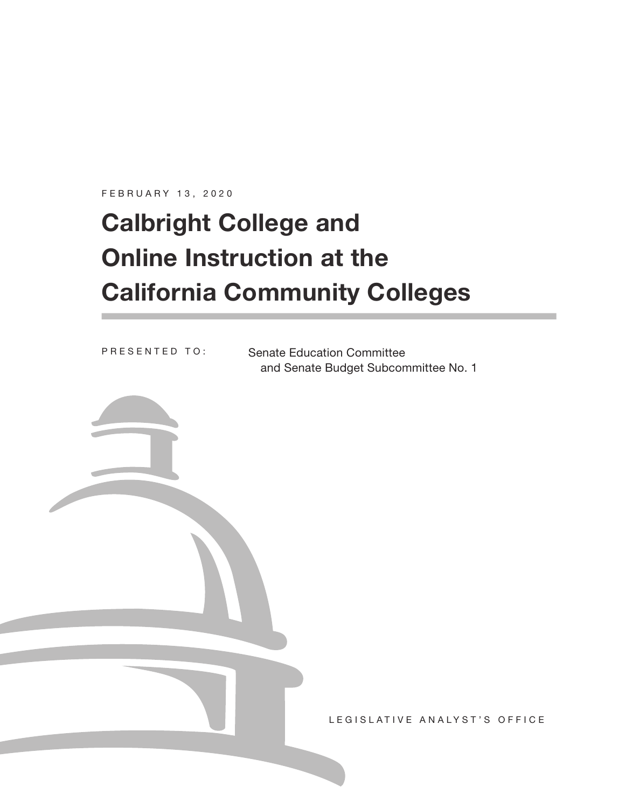FEBRUARY 13, 2020

# **Calbright College and Online Instruction at the California Community Colleges**

PRESENTED TO:

Senate Education Committee and Senate Budget Subcommittee No. 1

LEGISLATIVE ANALYST'S OFFICE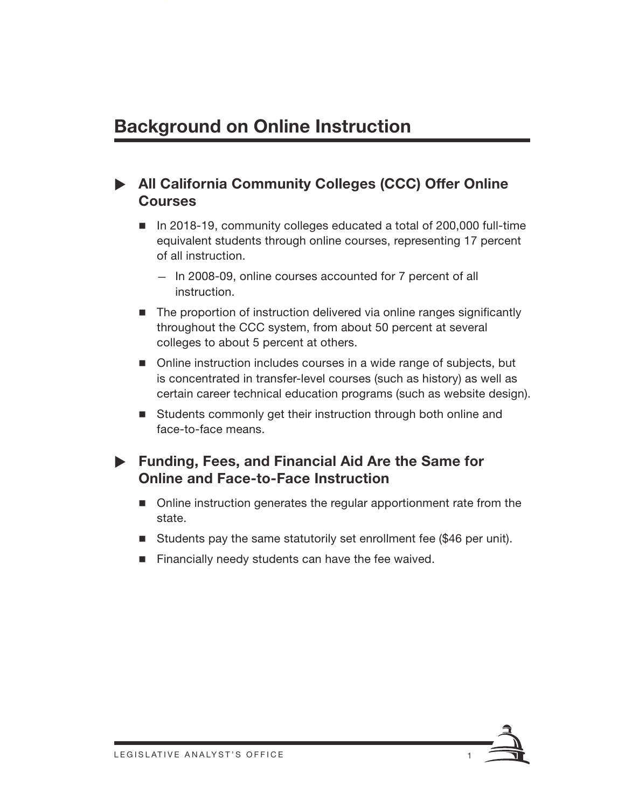## **Background on Online Instruction**

## X **All California Community Colleges (CCC) Offer Online Courses**

- In 2018-19, community colleges educated a total of 200,000 full-time equivalent students through online courses, representing 17 percent of all instruction.
	- In 2008-09, online courses accounted for 7 percent of all instruction.
- The proportion of instruction delivered via online ranges significantly throughout the CCC system, from about 50 percent at several colleges to about 5 percent at others.
- Online instruction includes courses in a wide range of subjects, but is concentrated in transfer-level courses (such as history) as well as certain career technical education programs (such as website design).
- Students commonly get their instruction through both online and face-to-face means.

## X **Funding, Fees, and Financial Aid Are the Same for Online and Face-to-Face Instruction**

- Online instruction generates the regular apportionment rate from the state.
- Students pay the same statutorily set enrollment fee (\$46 per unit).
- $\blacksquare$  Financially needy students can have the fee waived.

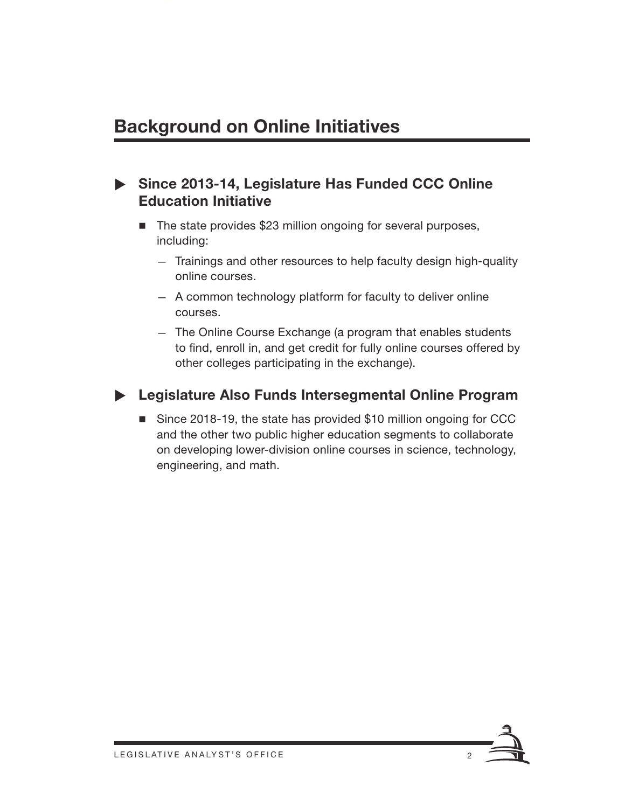## **Background on Online Initiatives**

## ▶ Since 2013-14, Legislature Has Funded CCC Online **Education Initiative**

- The state provides \$23 million ongoing for several purposes, including:
	- Trainings and other resources to help faculty design high-quality online courses.
	- A common technology platform for faculty to deliver online courses.
	- The Online Course Exchange (a program that enables students to find, enroll in, and get credit for fully online courses offered by other colleges participating in the exchange).

## X **Legislature Also Funds Intersegmental Online Program**

■ Since 2018-19, the state has provided \$10 million ongoing for CCC and the other two public higher education segments to collaborate on developing lower-division online courses in science, technology, engineering, and math.

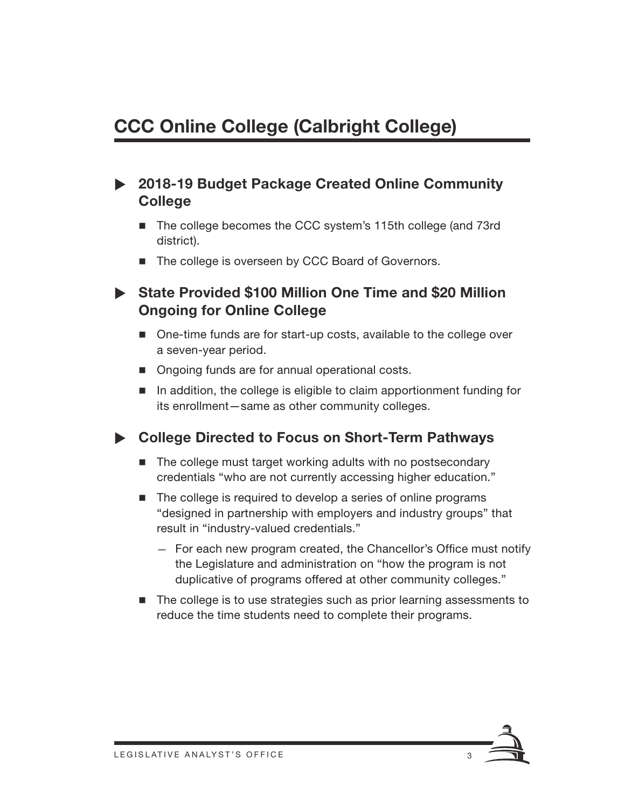## **CCC Online College (Calbright College)**

## ▶ 2018-19 Budget Package Created Online Community **College**

- The college becomes the CCC system's 115th college (and 73rd district).
- The college is overseen by CCC Board of Governors.

## ▶ State Provided \$100 Million One Time and \$20 Million **Ongoing for Online College**

- One-time funds are for start-up costs, available to the college over a seven-year period.
- Ongoing funds are for annual operational costs.
- In addition, the college is eligible to claim apportionment funding for its enrollment—same as other community colleges.

### ▶ College Directed to Focus on Short-Term Pathways

- The college must target working adults with no postsecondary credentials "who are not currently accessing higher education."
- The college is required to develop a series of online programs "designed in partnership with employers and industry groups" that result in "industry-valued credentials."
	- For each new program created, the Chancellor's Office must notify the Legislature and administration on "how the program is not duplicative of programs offered at other community colleges."
- The college is to use strategies such as prior learning assessments to reduce the time students need to complete their programs.

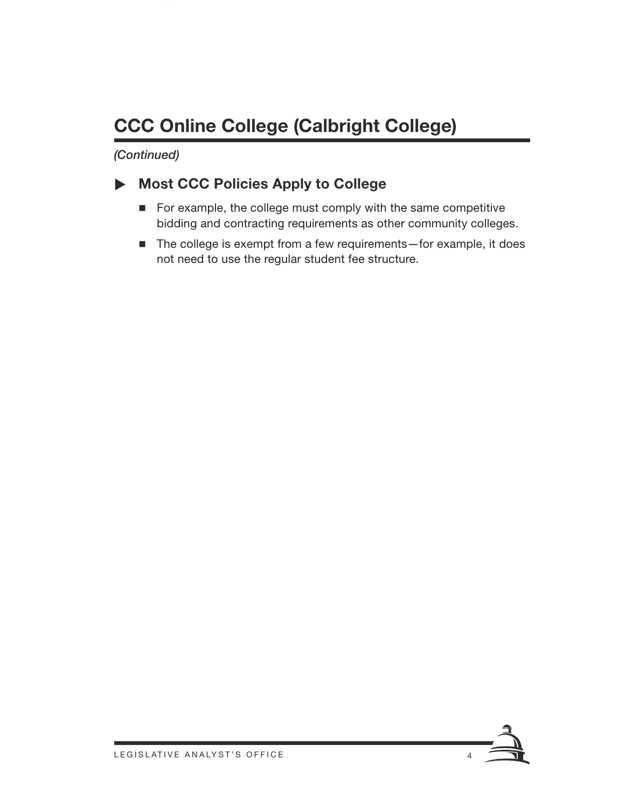## **CCC Online College (Calbright College)**

*(Continued)*

## X **Most CCC Policies Apply to College**

- $\blacksquare$  For example, the college must comply with the same competitive bidding and contracting requirements as other community colleges.
- The college is exempt from a few requirements—for example, it does not need to use the regular student fee structure.